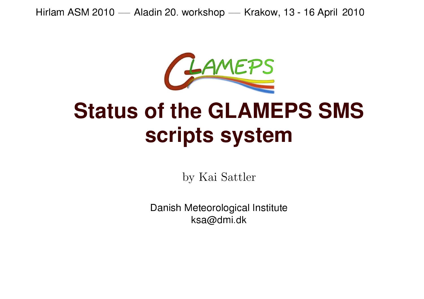Hirlam ASM 2010 — Aladin 20. workshop — Krakow, 13 - 16 April 2010



# CHAVERS<br>Status of the GLAMEPS SMS scripts system

by Kai Sattler

Danish Meteorological Institute ksa@dmi.dk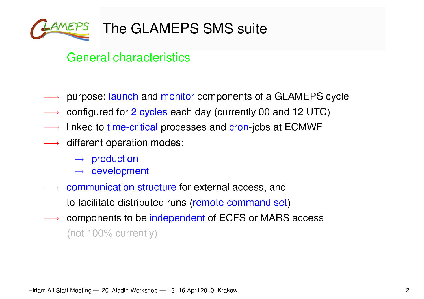

#### General characteristics

- purpose: launch and monitor components of <sup>a</sup> GLAMEPS cycle
- configured for <sup>2</sup> cycles each day (currently <sup>00</sup> and <sup>12</sup> UTC)
- linked to time-critical processes and cron-jobs at ECMWF
- $\longrightarrow$  different operation modes:
	- $\rightarrow$  production
	- $\rightarrow$  development
- communication structure for external access, and to facilitate distributed runs (remote command set)
- components to be independent of ECFS or MARS access (not 100% currently)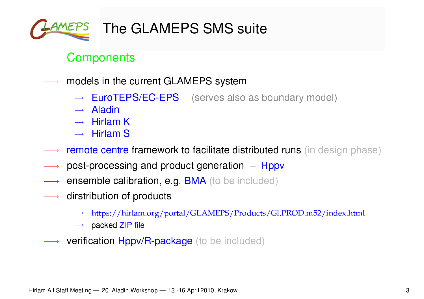

#### **Components**

- models in the current GLAMEPS system
	- $\rightarrow$  EuroTEPS/EC-EPS (serves also as boundary model)
	- $\rightarrow$  Aladin
	- $\rightarrow$  Hirlam K
	- $\rightarrow$  Hirlam S
- remote centre framework to facilitate distributed runs (in design phase)
- post-processing and product generation  $-$  Hppv
- ensemble calibration, e.g. BMA (to be included)
- dirstribution of products
	- $\rightarrow$  https://hirlam.org/portal/GLAMEPS/Products/Gl.PROD.m52/index.html
	- $\rightarrow$  packed ZIP file
- **verification Hppv/R-package** (to be included)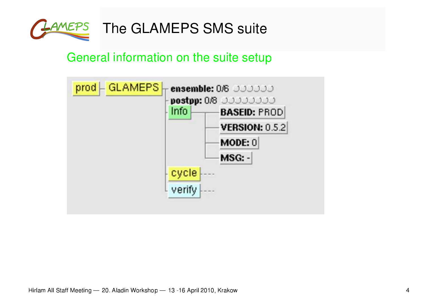

### General information on the suite setup

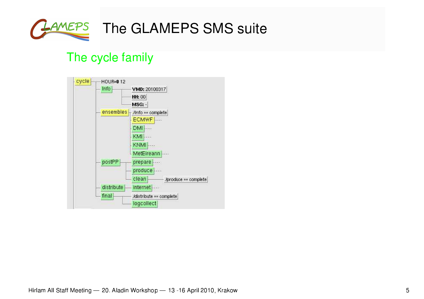

# LAMEPS The GLAMEPS SMS suite

#### The cycle family

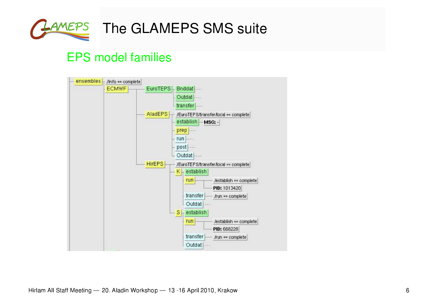

## LAMEPS The GLAMEPS SMS suite

#### **EPS model families**

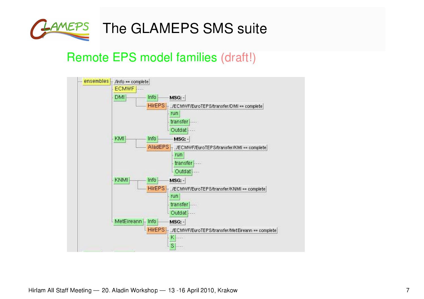

#### Remote EPS model families (draft!)

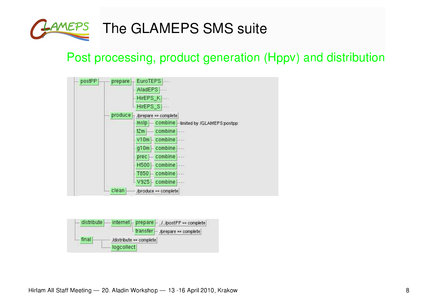

## Post processing, product generation (Hppv) and distribution



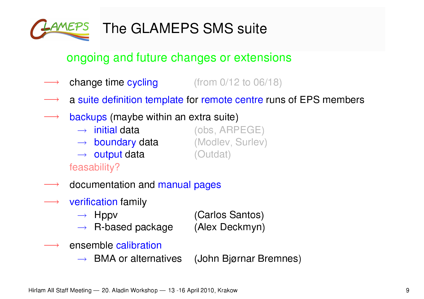

#### ongoing and future changes or extensions

- **change time cycling**  $($ from  $0/12$  to  $06/18)$
- <sup>a</sup> suite definition template for remote centre runs of EPS members
- backups (maybe within an extra suite)
	- $\rightarrow$  initial data (obs, ARPEGE)
	- $\rightarrow$  boundary data (Modlev, Surlev)
	- $\rightarrow$  output data (Outdat)

feasability?

- documentation and manual pages
- verification family
	- $\rightarrow$  Hppv (Carlos Santos)  $\rightarrow$  R-based package (Alex Deckmyn)
- ensemble calibration
	- $\rightarrow$  BMA or alternatives (John Bjørnar Bremnes)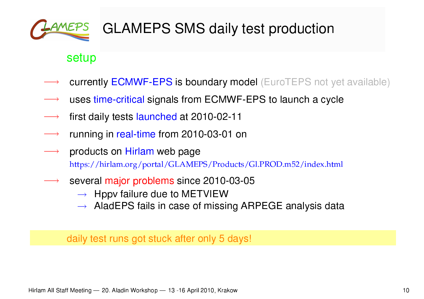

# GLAMEPS SMS daily test production

#### setup

- currently ECMWF-EPS is boundary model (EuroTEPS not yet available)
- uses time-critical signals from ECMWF-EPS to launch <sup>a</sup> cycle
- first daily tests launched at 2010-02-11
- running in real-time from 2010-03-01 on
- products on Hirlam web page https://hirlam.org/portal/GLAMEPS/Products/Gl.PROD.m52/index.html
- several major problems since 2010-03-05
	- $\rightarrow$  Hppv failure due to METVIEW
	- $\rightarrow$  AladEPS fails in case of missing ARPEGE analysis data

daily test runs got stuck after only 5 days!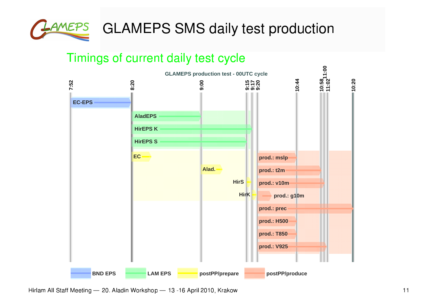

#### Timings of current daily test cycle



Hirlam All Staff Meeting — 20. Aladin Workshop — 13 -16 April 2010, Krakow New York States and the states of the states of the states of the states of the states of the states of the states of the states of the states of t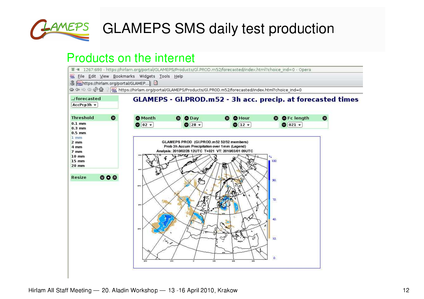

**LAMEPS** GLAMEPS SMS daily test production

#### Products on the internet